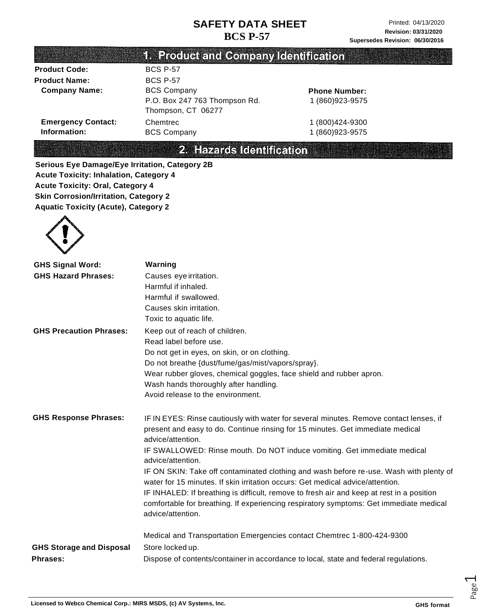|                           | <b>TE Product and Company Genuteauon</b>            |                      |
|---------------------------|-----------------------------------------------------|----------------------|
| <b>Product Code:</b>      | <b>BCS P-57</b>                                     |                      |
| <b>Product Name:</b>      | <b>BCS P-57</b>                                     |                      |
| <b>Company Name:</b>      | <b>BCS Company</b>                                  | <b>Phone Number:</b> |
|                           | P.O. Box 247 763 Thompson Rd.<br>Thompson, CT 06277 | 1 (860) 923-9575     |
| <b>Emergency Contact:</b> | Chemtrec                                            | 1 (800) 424-9300     |
| Information:              | <b>BCS Company</b>                                  | 1 (860) 923-9575     |

2. Hazards Identification

**Serious Eye Damage/Eye Irritation, Category 2B Acute Toxicity: Inhalation, Category 4 Acute Toxicity: Oral, Category 4 Skin Corrosion/Irritation, Category 2 Aquatic Toxicity (Acute), Category 2**



| <b>GHS Signal Word:</b>         | Warning                                                                                                                                                                                                  |
|---------------------------------|----------------------------------------------------------------------------------------------------------------------------------------------------------------------------------------------------------|
| <b>GHS Hazard Phrases:</b>      | Causes eye irritation.                                                                                                                                                                                   |
|                                 | Harmful if inhaled.                                                                                                                                                                                      |
|                                 | Harmful if swallowed.                                                                                                                                                                                    |
|                                 | Causes skin irritation.                                                                                                                                                                                  |
|                                 | Toxic to aquatic life.                                                                                                                                                                                   |
| <b>GHS Precaution Phrases:</b>  | Keep out of reach of children.                                                                                                                                                                           |
|                                 | Read label before use.                                                                                                                                                                                   |
|                                 | Do not get in eyes, on skin, or on clothing.                                                                                                                                                             |
|                                 | Do not breathe {dust/fume/gas/mist/vapors/spray}.                                                                                                                                                        |
|                                 | Wear rubber gloves, chemical goggles, face shield and rubber apron.                                                                                                                                      |
|                                 | Wash hands thoroughly after handling.                                                                                                                                                                    |
|                                 | Avoid release to the environment.                                                                                                                                                                        |
| <b>GHS Response Phrases:</b>    | IF IN EYES: Rinse cautiously with water for several minutes. Remove contact lenses, if<br>present and easy to do. Continue rinsing for 15 minutes. Get immediate medical<br>advice/attention.            |
|                                 | IF SWALLOWED: Rinse mouth. Do NOT induce vomiting. Get immediate medical<br>advice/attention.                                                                                                            |
|                                 | IF ON SKIN: Take off contaminated clothing and wash before re-use. Wash with plenty of<br>water for 15 minutes. If skin irritation occurs: Get medical advice/attention.                                 |
|                                 | IF INHALED: If breathing is difficult, remove to fresh air and keep at rest in a position<br>comfortable for breathing. If experiencing respiratory symptoms: Get immediate medical<br>advice/attention. |
| <b>GHS Storage and Disposal</b> | Medical and Transportation Emergencies contact Chemtrec 1-800-424-9300<br>Store locked up.                                                                                                               |
| Phrases:                        | Dispose of contents/container in accordance to local, state and federal regulations.                                                                                                                     |

Page  $\overline{\phantom{0}}$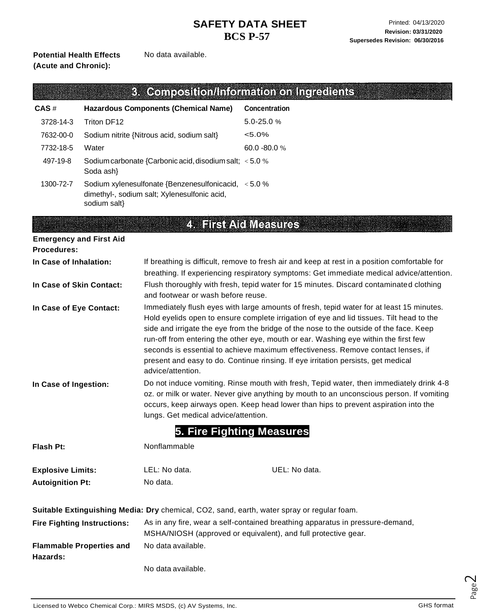#### **Potential Health Effects (Acute and Chronic):**

No data available.

|                                |                                                                                                                                                                                                                                                                                                                                                                          |                                                                                                     | 3. Composition/Information on Ingredients                                                                                                                                                                                                                                                                                                                                                                                                                                                                                                      |
|--------------------------------|--------------------------------------------------------------------------------------------------------------------------------------------------------------------------------------------------------------------------------------------------------------------------------------------------------------------------------------------------------------------------|-----------------------------------------------------------------------------------------------------|------------------------------------------------------------------------------------------------------------------------------------------------------------------------------------------------------------------------------------------------------------------------------------------------------------------------------------------------------------------------------------------------------------------------------------------------------------------------------------------------------------------------------------------------|
| CAS#                           |                                                                                                                                                                                                                                                                                                                                                                          | <b>Hazardous Components (Chemical Name)</b>                                                         | Concentration                                                                                                                                                                                                                                                                                                                                                                                                                                                                                                                                  |
| 3728-14-3                      | Triton DF12                                                                                                                                                                                                                                                                                                                                                              |                                                                                                     | 5.0-25.0%                                                                                                                                                                                                                                                                                                                                                                                                                                                                                                                                      |
| 7632-00-0                      | Sodium nitrite {Nitrous acid, sodium salt}                                                                                                                                                                                                                                                                                                                               |                                                                                                     | $< 5.0\%$                                                                                                                                                                                                                                                                                                                                                                                                                                                                                                                                      |
| 7732-18-5                      | Water                                                                                                                                                                                                                                                                                                                                                                    |                                                                                                     | 60.0 - 80.0 %                                                                                                                                                                                                                                                                                                                                                                                                                                                                                                                                  |
| 497-19-8                       | Sodium carbonate {Carbonic acid, disodium salt; < 5.0 %<br>Soda ash}                                                                                                                                                                                                                                                                                                     |                                                                                                     |                                                                                                                                                                                                                                                                                                                                                                                                                                                                                                                                                |
| 1300-72-7                      | sodium salt}                                                                                                                                                                                                                                                                                                                                                             | Sodium xylenesulfonate {Benzenesulfonicacid, <5.0 %<br>dimethyl-, sodium salt; Xylenesulfonic acid, |                                                                                                                                                                                                                                                                                                                                                                                                                                                                                                                                                |
|                                |                                                                                                                                                                                                                                                                                                                                                                          |                                                                                                     | <b>4. First Atd Measures</b>                                                                                                                                                                                                                                                                                                                                                                                                                                                                                                                   |
| <b>Emergency and First Aid</b> |                                                                                                                                                                                                                                                                                                                                                                          |                                                                                                     |                                                                                                                                                                                                                                                                                                                                                                                                                                                                                                                                                |
| <b>Procedures:</b>             |                                                                                                                                                                                                                                                                                                                                                                          |                                                                                                     |                                                                                                                                                                                                                                                                                                                                                                                                                                                                                                                                                |
| In Case of Inhalation:         |                                                                                                                                                                                                                                                                                                                                                                          |                                                                                                     | If breathing is difficult, remove to fresh air and keep at rest in a position comfortable for                                                                                                                                                                                                                                                                                                                                                                                                                                                  |
|                                |                                                                                                                                                                                                                                                                                                                                                                          |                                                                                                     | breathing. If experiencing respiratory symptoms: Get immediate medical advice/attention.                                                                                                                                                                                                                                                                                                                                                                                                                                                       |
| In Case of Skin Contact:       |                                                                                                                                                                                                                                                                                                                                                                          | and footwear or wash before reuse.                                                                  | Flush thoroughly with fresh, tepid water for 15 minutes. Discard contaminated clothing                                                                                                                                                                                                                                                                                                                                                                                                                                                         |
| In Case of Eye Contact:        |                                                                                                                                                                                                                                                                                                                                                                          | advice/attention.                                                                                   | Immediately flush eyes with large amounts of fresh, tepid water for at least 15 minutes.<br>Hold eyelids open to ensure complete irrigation of eye and lid tissues. Tilt head to the<br>side and irrigate the eye from the bridge of the nose to the outside of the face. Keep<br>run-off from entering the other eye, mouth or ear. Washing eye within the first few<br>seconds is essential to achieve maximum effectiveness. Remove contact lenses, if<br>present and easy to do. Continue rinsing. If eye irritation persists, get medical |
|                                | Do not induce vomiting. Rinse mouth with fresh, Tepid water, then immediately drink 4-8<br>In Case of Ingestion:<br>oz. or milk or water. Never give anything by mouth to an unconscious person. If vomiting<br>occurs, keep airways open. Keep head lower than hips to prevent aspiration into the<br>lungs. Get medical advice/attention.<br>5. Fire Fighting Measures |                                                                                                     |                                                                                                                                                                                                                                                                                                                                                                                                                                                                                                                                                |
| Flash Pt:                      |                                                                                                                                                                                                                                                                                                                                                                          | Nonflammable                                                                                        |                                                                                                                                                                                                                                                                                                                                                                                                                                                                                                                                                |
| <b>Explosive Limits:</b>       |                                                                                                                                                                                                                                                                                                                                                                          | LEL: No data.                                                                                       | UEL: No data.                                                                                                                                                                                                                                                                                                                                                                                                                                                                                                                                  |
| <b>Autoignition Pt:</b>        |                                                                                                                                                                                                                                                                                                                                                                          | No data.                                                                                            |                                                                                                                                                                                                                                                                                                                                                                                                                                                                                                                                                |
|                                |                                                                                                                                                                                                                                                                                                                                                                          |                                                                                                     | Suitable Extinguishing Media: Dry chemical, CO2, sand, earth, water spray or regular foam.                                                                                                                                                                                                                                                                                                                                                                                                                                                     |
|                                | <b>Fire Fighting Instructions:</b>                                                                                                                                                                                                                                                                                                                                       |                                                                                                     | As in any fire, wear a self-contained breathing apparatus in pressure-demand,                                                                                                                                                                                                                                                                                                                                                                                                                                                                  |
|                                |                                                                                                                                                                                                                                                                                                                                                                          |                                                                                                     | MSHA/NIOSH (approved or equivalent), and full protective gear.                                                                                                                                                                                                                                                                                                                                                                                                                                                                                 |
| Hazards:                       | No data available.<br><b>Flammable Properties and</b>                                                                                                                                                                                                                                                                                                                    |                                                                                                     |                                                                                                                                                                                                                                                                                                                                                                                                                                                                                                                                                |

No data available.

Page  $\curvearrowright$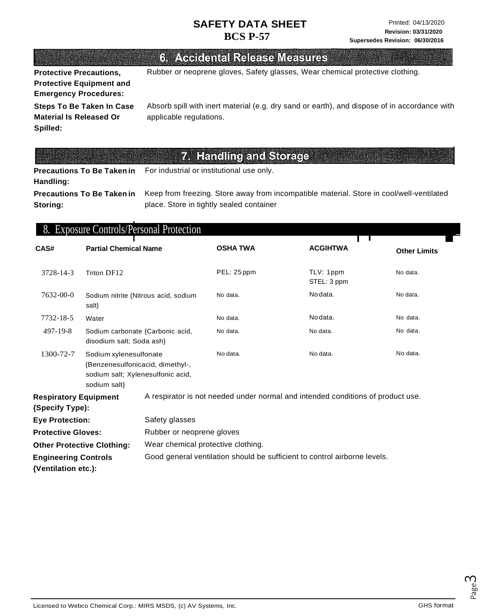# 6. Accidental Release Measures

**Protective Precautions, Protective Equipment and Emergency Procedures:**

Rubber or neoprene gloves, Safety glasses, Wear chemical protective clothing.

**Steps To Be Taken In Case Material Is Released Or Spilled:**

Absorb spill with inert material (e.g. dry sand or earth), and dispose of in accordance with applicable regulations.

# 7. Handling and Storage

**Precautions To Be Taken in Handling:** For industrial or institutional use only.

**Precautions To Be Taken in Storing:**

Keep from freezing. Store away from incompatible material. Store in cool/well-ventilated place. Store in tightly sealed container

#### 8. Exposure Controls/Personal Protection \_

| CAS#                                                                    | <b>Partial Chemical Name</b>                                                                                                |                                                                           | <b>OSHA TWA</b>                                                                 | <b>ACGIHTWA</b>          | <b>Other Limits</b> |
|-------------------------------------------------------------------------|-----------------------------------------------------------------------------------------------------------------------------|---------------------------------------------------------------------------|---------------------------------------------------------------------------------|--------------------------|---------------------|
| 3728-14-3                                                               | Triton DF12                                                                                                                 |                                                                           | PEL: 25 ppm                                                                     | TLV: 1ppm<br>STEL: 3 ppm | No data.            |
| 7632-00-0                                                               | Sodium nitrite {Nitrous acid, sodium<br>salt}                                                                               |                                                                           | No data.                                                                        | No data.                 | No data.            |
| 7732-18-5                                                               | Water                                                                                                                       |                                                                           | No data.                                                                        | No data.                 | No data.            |
| 497-19-8                                                                | Sodium carbonate {Carbonic acid,<br>disodium salt; Soda ash}                                                                |                                                                           | No data.                                                                        | No data.                 | No data.            |
| 1300-72-7                                                               | No data.<br>Sodium xylenesulfonate<br>{Benzenesulfonicacid, dimethyl-,<br>sodium salt; Xylenesulfonic acid,<br>sodium salt} |                                                                           |                                                                                 | No data.                 | No data.            |
| <b>Respiratory Equipment</b><br>{Specify Type):                         |                                                                                                                             |                                                                           | A respirator is not needed under normal and intended conditions of product use. |                          |                     |
| Safety glasses<br><b>Eye Protection:</b>                                |                                                                                                                             |                                                                           |                                                                                 |                          |                     |
| <b>Protective Gloves:</b><br>Rubber or neoprene gloves                  |                                                                                                                             |                                                                           |                                                                                 |                          |                     |
| Wear chemical protective clothing.<br><b>Other Protective Clothing:</b> |                                                                                                                             |                                                                           |                                                                                 |                          |                     |
| <b>Engineering Controls</b><br>{Ventilation etc.):                      |                                                                                                                             | Good general ventilation should be sufficient to control airborne levels. |                                                                                 |                          |                     |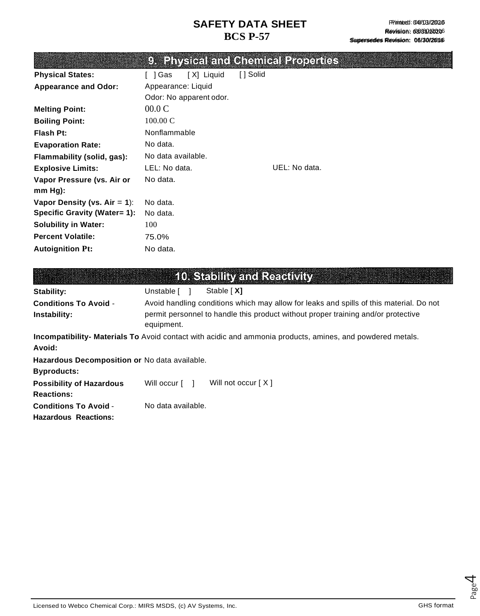|                                     |                         |           | 9. Physical and Chemical Properties |  |
|-------------------------------------|-------------------------|-----------|-------------------------------------|--|
| <b>Physical States:</b>             | [X] Liquid<br>[ ] Gas   | [ ] Solid |                                     |  |
| <b>Appearance and Odor:</b>         | Appearance: Liquid      |           |                                     |  |
|                                     | Odor: No apparent odor. |           |                                     |  |
| <b>Melting Point:</b>               | 00.0 C                  |           |                                     |  |
| <b>Boiling Point:</b>               | $100.00 \text{ C}$      |           |                                     |  |
| Flash Pt:                           | Nonflammable            |           |                                     |  |
| <b>Evaporation Rate:</b>            | No data.                |           |                                     |  |
| Flammability (solid, gas):          | No data available.      |           |                                     |  |
| <b>Explosive Limits:</b>            | LEL: No data.           |           | UEL: No data.                       |  |
| Vapor Pressure (vs. Air or          | No data.                |           |                                     |  |
| $mm Hg$ :                           |                         |           |                                     |  |
| Vapor Density (vs. $Air = 1$ ):     | No data.                |           |                                     |  |
| <b>Specific Gravity (Water= 1):</b> | No data.                |           |                                     |  |
| <b>Solubility in Water:</b>         | 100                     |           |                                     |  |
| <b>Percent Volatile:</b>            | 75.0%                   |           |                                     |  |
| <b>Autoignition Pt:</b>             | No data.                |           |                                     |  |
|                                     |                         |           |                                     |  |
|                                     |                         |           |                                     |  |

|                                                                                                                      | <b>10. Stability and Reactivity</b>                                                                                                                                                        |  |  |  |
|----------------------------------------------------------------------------------------------------------------------|--------------------------------------------------------------------------------------------------------------------------------------------------------------------------------------------|--|--|--|
| Stability:                                                                                                           | Unstable [ ]<br>Stable [X]                                                                                                                                                                 |  |  |  |
| <b>Conditions To Avoid -</b><br>Instability:                                                                         | Avoid handling conditions which may allow for leaks and spills of this material. Do not<br>permit personnel to handle this product without proper training and/or protective<br>equipment. |  |  |  |
| Incompatibility- Materials To Avoid contact with acidic and ammonia products, amines, and powdered metals.<br>Avoid: |                                                                                                                                                                                            |  |  |  |
| Hazardous Decomposition or No data available.<br><b>Byproducts:</b>                                                  |                                                                                                                                                                                            |  |  |  |
| <b>Possibility of Hazardous</b><br><b>Reactions:</b>                                                                 | Will not occur $[X]$<br>Will occur [ ]                                                                                                                                                     |  |  |  |
| <b>Conditions To Avoid -</b><br><b>Hazardous Reactions:</b>                                                          | No data available.                                                                                                                                                                         |  |  |  |

Licensed to Webco Chemical Corp.: MIRS MSDS, (c) AV Systems, Inc. GHS format Corp.: GHS format

Page  $\overline{\mathcal{A}}$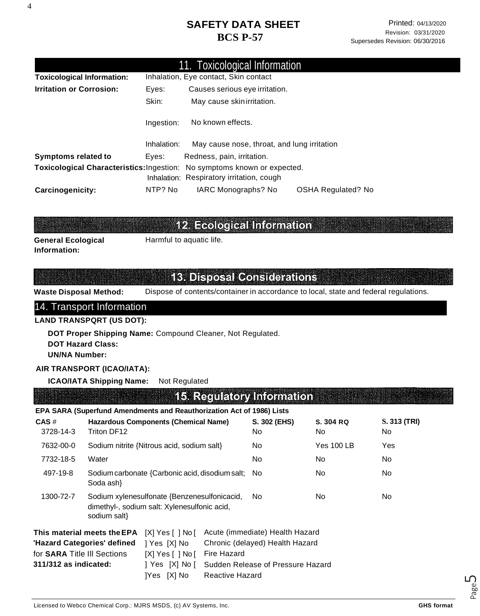| 11. Toxicological Information     |             |                                                                          |                    |  |
|-----------------------------------|-------------|--------------------------------------------------------------------------|--------------------|--|
| <b>Toxicological Information:</b> |             | Inhalation, Eye contact, Skin contact                                    |                    |  |
| <b>Irritation or Corrosion:</b>   | Eyes:       | Causes serious eye irritation.                                           |                    |  |
|                                   | Skin:       | May cause skin irritation.                                               |                    |  |
|                                   | Ingestion:  | No known effects.                                                        |                    |  |
|                                   | Inhalation: | May cause nose, throat, and lung irritation                              |                    |  |
| <b>Symptoms related to</b>        | Eves:       | Redness, pain, irritation.                                               |                    |  |
|                                   |             | Toxicological Characteristics: Ingestion: No symptoms known or expected. |                    |  |
|                                   |             | Inhalation: Respiratory irritation, cough                                |                    |  |
| Carcinogenicity:                  | NTP? No     | IARC Monographs? No                                                      | OSHA Regulated? No |  |

# 12. Ecological Information

**General Ecological Information:**

Harmful to aquatic life.

#### **13. Disposal Considerations**

**Waste Disposal Method:** Dispose of contents/container in accordance to local, state and federal regulations.

#### 14. Transport Information

#### **LAND TRANSPQRT (US DOT):**

**DOT Proper Shipping Name:** Compound Cleaner, Not Regulated. **DOT Hazard Class: UN/NA Number:**

#### **AIR TRANSPORT (ICAO/IATA):**

**ICAO/IATA Shipping Name:** Not Regulated

**15. Regulatory Information** 

#### **EPA SARA (Superfund Amendments and Reauthorization Act of 1986) Lists**

| $CAS \#$<br>3728-14-3                                                                                                                                                                                                       | <b>Hazardous Components (Chemical Name)</b><br>Triton DF12                                                   |                                       |                                                                                                         | S. 302 (EHS)<br>No. | S. 304 RQ<br>No. | S. 313 (TRI)<br>No. |
|-----------------------------------------------------------------------------------------------------------------------------------------------------------------------------------------------------------------------------|--------------------------------------------------------------------------------------------------------------|---------------------------------------|---------------------------------------------------------------------------------------------------------|---------------------|------------------|---------------------|
| 7632-00-0                                                                                                                                                                                                                   | Sodium nitrite {Nitrous acid, sodium salt}                                                                   |                                       | No.                                                                                                     | <b>Yes 100 LB</b>   | Yes              |                     |
| 7732-18-5                                                                                                                                                                                                                   | Water                                                                                                        |                                       |                                                                                                         | No.                 | No.              | No.                 |
| 497-19-8                                                                                                                                                                                                                    | Sodium carbonate {Carbonic acid, disodium salt; No<br>Soda ash}                                              |                                       |                                                                                                         |                     | No.              | No.                 |
| 1300-72-7                                                                                                                                                                                                                   | Sodium xylenesulfonate {Benzenesulfonicacid,<br>dimethyl-, sodium salt: Xylenesulfonic acid,<br>sodium salt} |                                       |                                                                                                         | No.                 | No.              | No.                 |
| This material meets the EPA<br>$[X]$ Yes $[ \ ]$ No $[$<br>'Hazard Categories' defined<br>  Yes [X] No<br>for SARA Title III Sections<br>$[X]$ Yes $[ \ ]$ No $[$<br>311/312 as indicated:<br>  Yes [X] No [<br>[Yes [X] No |                                                                                                              | <b>Fire Hazard</b><br>Reactive Hazard | Acute (immediate) Health Hazard<br>Chronic (delayed) Health Hazard<br>Sudden Release of Pressure Hazard |                     |                  |                     |

4

Page ம